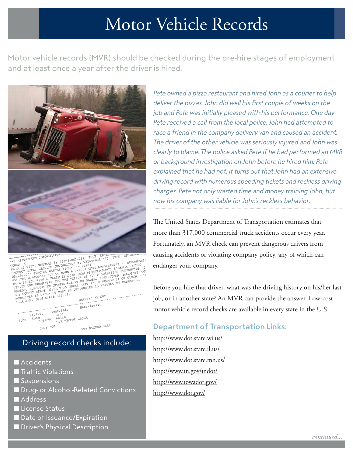## Motor Vehicle Records

Motor vehicle records (MVR) should be checked during the pre-hire stages of employment and at least once a year after the driver is hired.



FRAME TRANSPORTED IN THE RESON TO BE THAN THE PRESENT CONDENSATION AND THE RESPONSE OF THE RESONATION OF THE RESONATION OF THE RESONATION OF THE RESONATION OF THE RESONATION OF THE RESONATION OF THE RESONATION OF THE RESON Description Description of the property of the party of the constraint of the constant of the constraint of the constraint of the constraint of the constraint of the constraint of the constraint of the construction of the constraint o Conv/Rein Vio/Sus Type MVR RECORD CLEAR CSC: ADM

## Driving record checks include:

- **n** Accidents
- **T** Traffic Violations
- **n** Suspensions
- **n** Drug- or Alcohol-Related Convictions
- Address
- **n** License Status
- Date of Issuance/Expiration
- **n** Driver's Physical Description

Pete owned a pizza restaurant and hired John as a courier to help deliver the pizzas. John did well his first couple of weeks on the job and Pete was initially pleased with his performance. One day Pete received a call from the local police. John had attempted to race a friend in the company delivery van and caused an accident. The driver of the other vehicle was seriously injured and John was clearly to blame. The police asked Pete if he had performed an MVR or background investigation on John before he hired him. Pete explained that he had not. It turns out that John had an extensive driving record with numerous speeding tickets and reckless driving charges. Pete not only wasted time and money training John, but now his company was liable for John's reckless behavior.

The United States Department of Transportation estimates that more than 317,000 commercial truck accidents occur every year. Fortunately, an MVR check can prevent dangerous drivers from causing accidents or violating company policy, any of which can endanger your company.

Before you hire that driver, what was the driving history on his/her last job, or in another state? An MVR can provide the answer. Low-cost motor vehicle record checks are available in every state in the U.S.

## Department of Transportation Links:

<http://www.dot.state.wi.us/> <http://www.dot.state.il.us/> <http://www.dot.state.mn.us/> <http://www.in.gov/indot/> <http://www.iowadot.gov/> <http://www.dot.gov/>